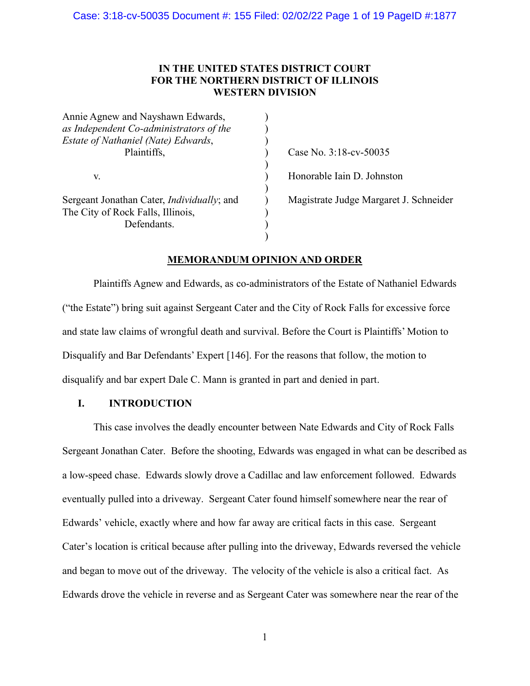# **IN THE UNITED STATES DISTRICT COURT FOR THE NORTHERN DISTRICT OF ILLINOIS WESTERN DIVISION**

| Annie Agnew and Nayshawn Edwards,          |  |
|--------------------------------------------|--|
| as Independent Co-administrators of the    |  |
| Estate of Nathaniel (Nate) Edwards,        |  |
| Plaintiffs,<br>V.                          |  |
|                                            |  |
|                                            |  |
|                                            |  |
| Sergeant Jonathan Cater, Individually; and |  |
| The City of Rock Falls, Illinois,          |  |
| Defendants.                                |  |
|                                            |  |

Case No. 3:18-cv-50035 Honorable Iain D. Johnston

Magistrate Judge Margaret J. Schneider

# **MEMORANDUM OPINION AND ORDER**

Plaintiffs Agnew and Edwards, as co-administrators of the Estate of Nathaniel Edwards ("the Estate") bring suit against Sergeant Cater and the City of Rock Falls for excessive force and state law claims of wrongful death and survival. Before the Court is Plaintiffs' Motion to Disqualify and Bar Defendants' Expert [146]. For the reasons that follow, the motion to disqualify and bar expert Dale C. Mann is granted in part and denied in part.

# **I. INTRODUCTION**

This case involves the deadly encounter between Nate Edwards and City of Rock Falls Sergeant Jonathan Cater. Before the shooting, Edwards was engaged in what can be described as a low-speed chase. Edwards slowly drove a Cadillac and law enforcement followed. Edwards eventually pulled into a driveway. Sergeant Cater found himself somewhere near the rear of Edwards' vehicle, exactly where and how far away are critical facts in this case. Sergeant Cater's location is critical because after pulling into the driveway, Edwards reversed the vehicle and began to move out of the driveway. The velocity of the vehicle is also a critical fact. As Edwards drove the vehicle in reverse and as Sergeant Cater was somewhere near the rear of the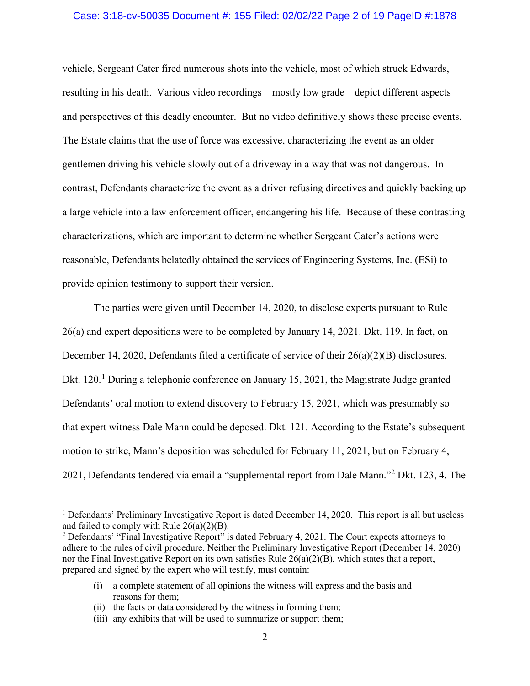### Case: 3:18-cv-50035 Document #: 155 Filed: 02/02/22 Page 2 of 19 PageID #:1878

vehicle, Sergeant Cater fired numerous shots into the vehicle, most of which struck Edwards, resulting in his death. Various video recordings—mostly low grade—depict different aspects and perspectives of this deadly encounter. But no video definitively shows these precise events. The Estate claims that the use of force was excessive, characterizing the event as an older gentlemen driving his vehicle slowly out of a driveway in a way that was not dangerous. In contrast, Defendants characterize the event as a driver refusing directives and quickly backing up a large vehicle into a law enforcement officer, endangering his life. Because of these contrasting characterizations, which are important to determine whether Sergeant Cater's actions were reasonable, Defendants belatedly obtained the services of Engineering Systems, Inc. (ESi) to provide opinion testimony to support their version.

The parties were given until December 14, 2020, to disclose experts pursuant to Rule 26(a) and expert depositions were to be completed by January 14, 2021. Dkt. 119. In fact, on December 14, 2020, Defendants filed a certificate of service of their 26(a)(2)(B) disclosures. Dkt.  $120<sup>1</sup>$  During a telephonic conference on January 15, 2021, the Magistrate Judge granted Defendants' oral motion to extend discovery to February 15, 2021, which was presumably so that expert witness Dale Mann could be deposed. Dkt. 121. According to the Estate's subsequent motion to strike, Mann's deposition was scheduled for February 11, 2021, but on February 4, 2021, Defendants tendered via email a "supplemental report from Dale Mann."<sup>2</sup> Dkt. 123, 4. The

 $<sup>1</sup>$  Defendants' Preliminary Investigative Report is dated December 14, 2020. This report is all but useless</sup> and failed to comply with Rule 26(a)(2)(B).

<sup>&</sup>lt;sup>2</sup> Defendants' "Final Investigative Report" is dated February 4, 2021. The Court expects attorneys to adhere to the rules of civil procedure. Neither the Preliminary Investigative Report (December 14, 2020) nor the Final Investigative Report on its own satisfies Rule  $26(a)(2)(B)$ , which states that a report, prepared and signed by the expert who will testify, must contain:

<sup>(</sup>i) a complete statement of all opinions the witness will express and the basis and reasons for them;

<sup>(</sup>ii) the facts or data considered by the witness in forming them;

<sup>(</sup>iii) any exhibits that will be used to summarize or support them;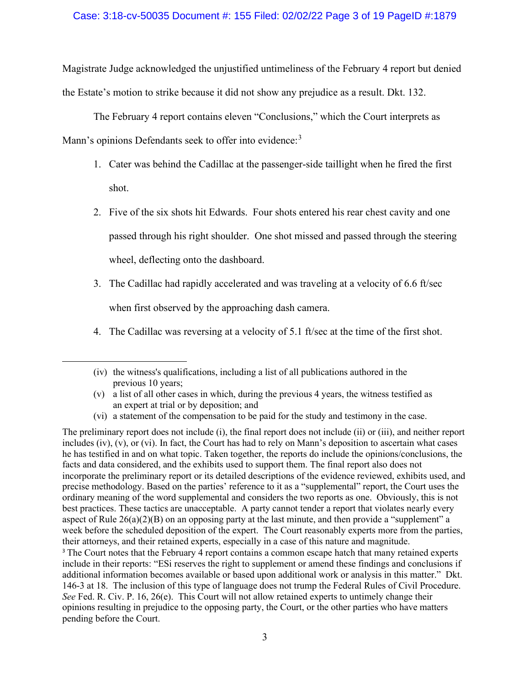Magistrate Judge acknowledged the unjustified untimeliness of the February 4 report but denied the Estate's motion to strike because it did not show any prejudice as a result. Dkt. 132.

The February 4 report contains eleven "Conclusions," which the Court interprets as

Mann's opinions Defendants seek to offer into evidence:<sup>3</sup>

- 1. Cater was behind the Cadillac at the passenger-side taillight when he fired the first shot.
- 2. Five of the six shots hit Edwards. Four shots entered his rear chest cavity and one passed through his right shoulder. One shot missed and passed through the steering wheel, deflecting onto the dashboard.
- 3. The Cadillac had rapidly accelerated and was traveling at a velocity of 6.6 ft/sec when first observed by the approaching dash camera.
- 4. The Cadillac was reversing at a velocity of 5.1 ft/sec at the time of the first shot.

(vi) a statement of the compensation to be paid for the study and testimony in the case.

The preliminary report does not include (i), the final report does not include (ii) or (iii), and neither report includes (iv), (v), or (vi). In fact, the Court has had to rely on Mann's deposition to ascertain what cases he has testified in and on what topic. Taken together, the reports do include the opinions/conclusions, the facts and data considered, and the exhibits used to support them. The final report also does not incorporate the preliminary report or its detailed descriptions of the evidence reviewed, exhibits used, and precise methodology. Based on the parties' reference to it as a "supplemental" report, the Court uses the ordinary meaning of the word supplemental and considers the two reports as one. Obviously, this is not best practices. These tactics are unacceptable. A party cannot tender a report that violates nearly every aspect of Rule 26(a)(2)(B) on an opposing party at the last minute, and then provide a "supplement" a week before the scheduled deposition of the expert. The Court reasonably experts more from the parties, their attorneys, and their retained experts, especially in a case of this nature and magnitude. <sup>3</sup> The Court notes that the February 4 report contains a common escape hatch that many retained experts include in their reports: "ESi reserves the right to supplement or amend these findings and conclusions if additional information becomes available or based upon additional work or analysis in this matter." Dkt. 146-3 at 18. The inclusion of this type of language does not trump the Federal Rules of Civil Procedure. *See* Fed. R. Civ. P. 16, 26(e). This Court will not allow retained experts to untimely change their opinions resulting in prejudice to the opposing party, the Court, or the other parties who have matters pending before the Court.

<sup>(</sup>iv) the witness's qualifications, including a list of all publications authored in the previous 10 years;

<sup>(</sup>v) a list of all other cases in which, during the previous 4 years, the witness testified as an expert at trial or by deposition; and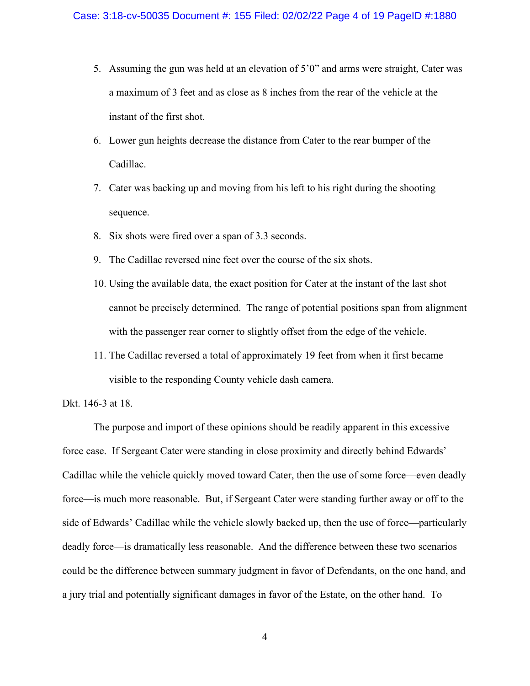- 5. Assuming the gun was held at an elevation of 5'0" and arms were straight, Cater was a maximum of 3 feet and as close as 8 inches from the rear of the vehicle at the instant of the first shot.
- 6. Lower gun heights decrease the distance from Cater to the rear bumper of the Cadillac.
- 7. Cater was backing up and moving from his left to his right during the shooting sequence.
- 8. Six shots were fired over a span of 3.3 seconds.
- 9. The Cadillac reversed nine feet over the course of the six shots.
- 10. Using the available data, the exact position for Cater at the instant of the last shot cannot be precisely determined. The range of potential positions span from alignment with the passenger rear corner to slightly offset from the edge of the vehicle.
- 11. The Cadillac reversed a total of approximately 19 feet from when it first became visible to the responding County vehicle dash camera.

Dkt. 146-3 at 18.

The purpose and import of these opinions should be readily apparent in this excessive force case. If Sergeant Cater were standing in close proximity and directly behind Edwards' Cadillac while the vehicle quickly moved toward Cater, then the use of some force—even deadly force—is much more reasonable. But, if Sergeant Cater were standing further away or off to the side of Edwards' Cadillac while the vehicle slowly backed up, then the use of force—particularly deadly force—is dramatically less reasonable. And the difference between these two scenarios could be the difference between summary judgment in favor of Defendants, on the one hand, and a jury trial and potentially significant damages in favor of the Estate, on the other hand. To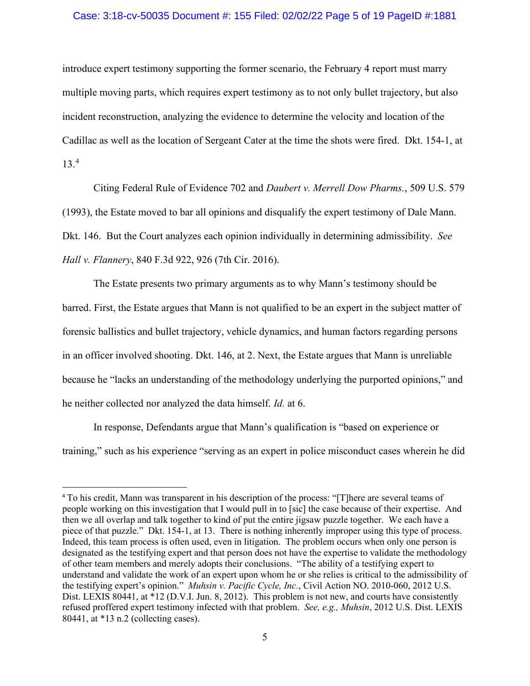### Case: 3:18-cv-50035 Document #: 155 Filed: 02/02/22 Page 5 of 19 PageID #:1881

introduce expert testimony supporting the former scenario, the February 4 report must marry multiple moving parts, which requires expert testimony as to not only bullet trajectory, but also incident reconstruction, analyzing the evidence to determine the velocity and location of the Cadillac as well as the location of Sergeant Cater at the time the shots were fired. Dkt. 154-1, at 13.<sup>4</sup>

Citing Federal Rule of Evidence 702 and *Daubert v. Merrell Dow Pharms.*, 509 U.S. 579 (1993), the Estate moved to bar all opinions and disqualify the expert testimony of Dale Mann. Dkt. 146. But the Court analyzes each opinion individually in determining admissibility. *See Hall v. Flannery*, 840 F.3d 922, 926 (7th Cir. 2016).

The Estate presents two primary arguments as to why Mann's testimony should be barred. First, the Estate argues that Mann is not qualified to be an expert in the subject matter of forensic ballistics and bullet trajectory, vehicle dynamics, and human factors regarding persons in an officer involved shooting. Dkt. 146, at 2. Next, the Estate argues that Mann is unreliable because he "lacks an understanding of the methodology underlying the purported opinions," and he neither collected nor analyzed the data himself. *Id.* at 6.

In response, Defendants argue that Mann's qualification is "based on experience or training," such as his experience "serving as an expert in police misconduct cases wherein he did

<sup>4</sup> To his credit, Mann was transparent in his description of the process: "[T]here are several teams of people working on this investigation that I would pull in to [sic] the case because of their expertise. And then we all overlap and talk together to kind of put the entire jigsaw puzzle together. We each have a piece of that puzzle." Dkt. 154-1, at 13. There is nothing inherently improper using this type of process. Indeed, this team process is often used, even in litigation. The problem occurs when only one person is designated as the testifying expert and that person does not have the expertise to validate the methodology of other team members and merely adopts their conclusions. "The ability of a testifying expert to understand and validate the work of an expert upon whom he or she relies is critical to the admissibility of the testifying expert's opinion." *Muhsin v. Pacific Cycle, Inc.*, Civil Action NO. 2010-060, 2012 U.S. Dist. LEXIS 80441, at \*12 (D.V.I. Jun. 8, 2012). This problem is not new, and courts have consistently refused proffered expert testimony infected with that problem. *See, e.g., Muhsin*, 2012 U.S. Dist. LEXIS 80441, at \*13 n.2 (collecting cases).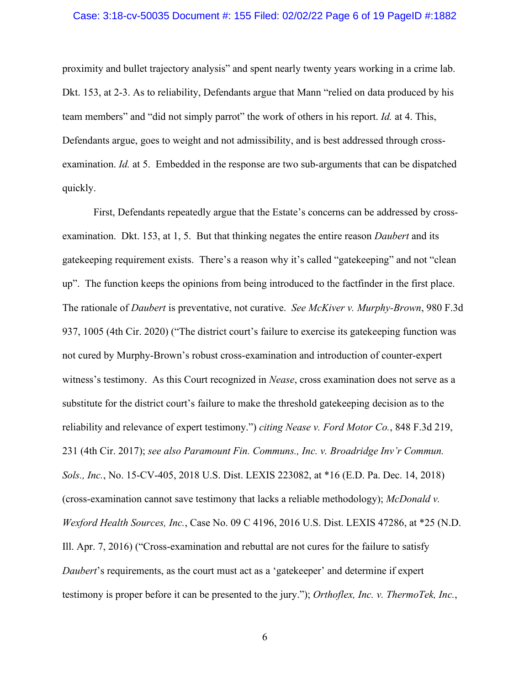#### Case: 3:18-cv-50035 Document #: 155 Filed: 02/02/22 Page 6 of 19 PageID #:1882

proximity and bullet trajectory analysis" and spent nearly twenty years working in a crime lab. Dkt. 153, at 2-3. As to reliability, Defendants argue that Mann "relied on data produced by his team members" and "did not simply parrot" the work of others in his report. *Id.* at 4. This, Defendants argue, goes to weight and not admissibility, and is best addressed through crossexamination. *Id.* at 5. Embedded in the response are two sub-arguments that can be dispatched quickly.

First, Defendants repeatedly argue that the Estate's concerns can be addressed by crossexamination. Dkt. 153, at 1, 5. But that thinking negates the entire reason *Daubert* and its gatekeeping requirement exists. There's a reason why it's called "gatekeeping" and not "clean up". The function keeps the opinions from being introduced to the factfinder in the first place. The rationale of *Daubert* is preventative, not curative. *See McKiver v. Murphy-Brown*, 980 F.3d 937, 1005 (4th Cir. 2020) ("The district court's failure to exercise its gatekeeping function was not cured by Murphy-Brown's robust cross-examination and introduction of counter-expert witness's testimony. As this Court recognized in *Nease*, cross examination does not serve as a substitute for the district court's failure to make the threshold gatekeeping decision as to the reliability and relevance of expert testimony.") *citing Nease v. Ford Motor Co.*, 848 F.3d 219, 231 (4th Cir. 2017); *see also Paramount Fin. Communs., Inc. v. Broadridge Inv'r Commun. Sols., Inc.*, No. 15-CV-405, 2018 U.S. Dist. LEXIS 223082, at \*16 (E.D. Pa. Dec. 14, 2018) (cross-examination cannot save testimony that lacks a reliable methodology); *McDonald v. Wexford Health Sources, Inc.*, Case No. 09 C 4196, 2016 U.S. Dist. LEXIS 47286, at \*25 (N.D. Ill. Apr. 7, 2016) ("Cross-examination and rebuttal are not cures for the failure to satisfy *Daubert*'s requirements, as the court must act as a 'gatekeeper' and determine if expert testimony is proper before it can be presented to the jury."); *Orthoflex, Inc. v. ThermoTek, Inc.*,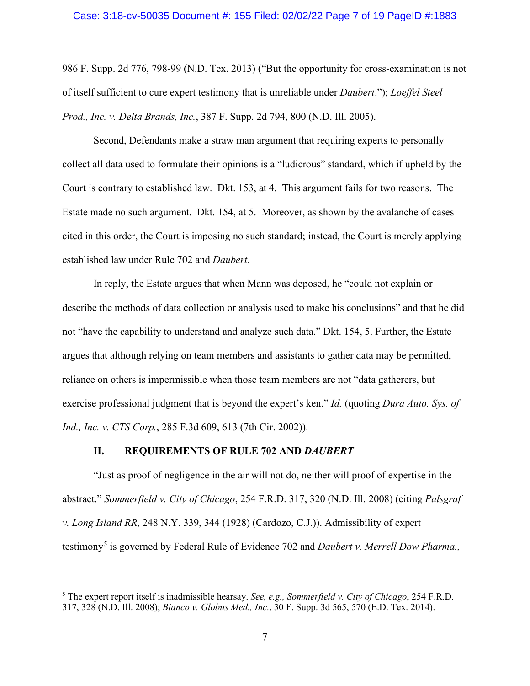#### Case: 3:18-cv-50035 Document #: 155 Filed: 02/02/22 Page 7 of 19 PageID #:1883

986 F. Supp. 2d 776, 798-99 (N.D. Tex. 2013) ("But the opportunity for cross-examination is not of itself sufficient to cure expert testimony that is unreliable under *Daubert*."); *Loeffel Steel Prod., Inc. v. Delta Brands, Inc.*, 387 F. Supp. 2d 794, 800 (N.D. Ill. 2005).

Second, Defendants make a straw man argument that requiring experts to personally collect all data used to formulate their opinions is a "ludicrous" standard, which if upheld by the Court is contrary to established law. Dkt. 153, at 4. This argument fails for two reasons. The Estate made no such argument. Dkt. 154, at 5. Moreover, as shown by the avalanche of cases cited in this order, the Court is imposing no such standard; instead, the Court is merely applying established law under Rule 702 and *Daubert*.

In reply, the Estate argues that when Mann was deposed, he "could not explain or describe the methods of data collection or analysis used to make his conclusions" and that he did not "have the capability to understand and analyze such data." Dkt. 154, 5. Further, the Estate argues that although relying on team members and assistants to gather data may be permitted, reliance on others is impermissible when those team members are not "data gatherers, but exercise professional judgment that is beyond the expert's ken." *Id.* (quoting *Dura Auto. Sys. of Ind., Inc. v. CTS Corp.*, 285 F.3d 609, 613 (7th Cir. 2002)).

### **II. REQUIREMENTS OF RULE 702 AND** *DAUBERT*

"Just as proof of negligence in the air will not do, neither will proof of expertise in the abstract." *Sommerfield v. City of Chicago*, 254 F.R.D. 317, 320 (N.D. Ill. 2008) (citing *Palsgraf v. Long Island RR*, 248 N.Y. 339, 344 (1928) (Cardozo, C.J.)). Admissibility of expert testimony<sup>5</sup> is governed by Federal Rule of Evidence 702 and *Daubert v. Merrell Dow Pharma.*,

<sup>5</sup> The expert report itself is inadmissible hearsay. *See, e.g., Sommerfield v. City of Chicago*, 254 F.R.D. 317, 328 (N.D. Ill. 2008); *Bianco v. Globus Med., Inc.*, 30 F. Supp. 3d 565, 570 (E.D. Tex. 2014).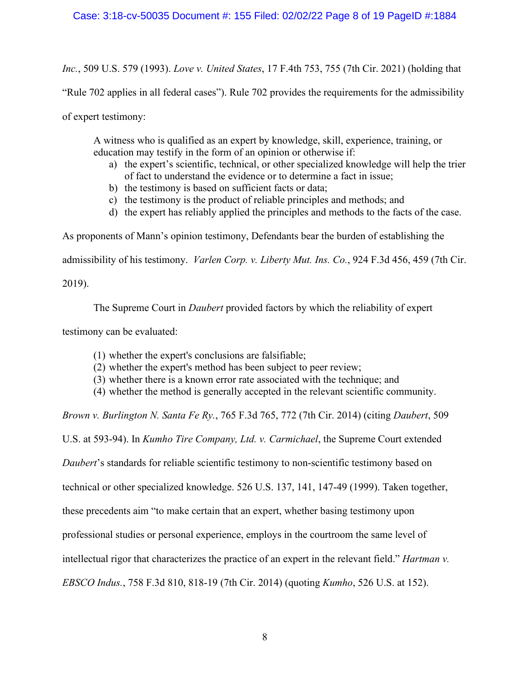# Case: 3:18-cv-50035 Document #: 155 Filed: 02/02/22 Page 8 of 19 PageID #:1884

*Inc.*, 509 U.S. 579 (1993). *Love v. United States*, 17 F.4th 753, 755 (7th Cir. 2021) (holding that

"Rule 702 applies in all federal cases"). Rule 702 provides the requirements for the admissibility

of expert testimony:

A witness who is qualified as an expert by knowledge, skill, experience, training, or education may testify in the form of an opinion or otherwise if:

- a) the expert's scientific, technical, or other specialized knowledge will help the trier of fact to understand the evidence or to determine a fact in issue;
- b) the testimony is based on sufficient facts or data;
- c) the testimony is the product of reliable principles and methods; and
- d) the expert has reliably applied the principles and methods to the facts of the case.

As proponents of Mann's opinion testimony, Defendants bear the burden of establishing the

admissibility of his testimony. *Varlen Corp. v. Liberty Mut. Ins. Co.*, 924 F.3d 456, 459 (7th Cir.

2019).

The Supreme Court in *Daubert* provided factors by which the reliability of expert

testimony can be evaluated:

- (1) whether the expert's conclusions are falsifiable;
- (2) whether the expert's method has been subject to peer review;
- (3) whether there is a known error rate associated with the technique; and
- (4) whether the method is generally accepted in the relevant scientific community.

*Brown v. Burlington N. Santa Fe Ry.*, 765 F.3d 765, 772 (7th Cir. 2014) (citing *Daubert*, 509

U.S. at 593-94). In *Kumho Tire Company, Ltd. v. Carmichael*, the Supreme Court extended

*Daubert*'s standards for reliable scientific testimony to non-scientific testimony based on

technical or other specialized knowledge. 526 U.S. 137, 141, 147-49 (1999). Taken together,

these precedents aim "to make certain that an expert, whether basing testimony upon

professional studies or personal experience, employs in the courtroom the same level of

intellectual rigor that characterizes the practice of an expert in the relevant field." *Hartman v.* 

*EBSCO Indus.*, 758 F.3d 810, 818-19 (7th Cir. 2014) (quoting *Kumho*, 526 U.S. at 152).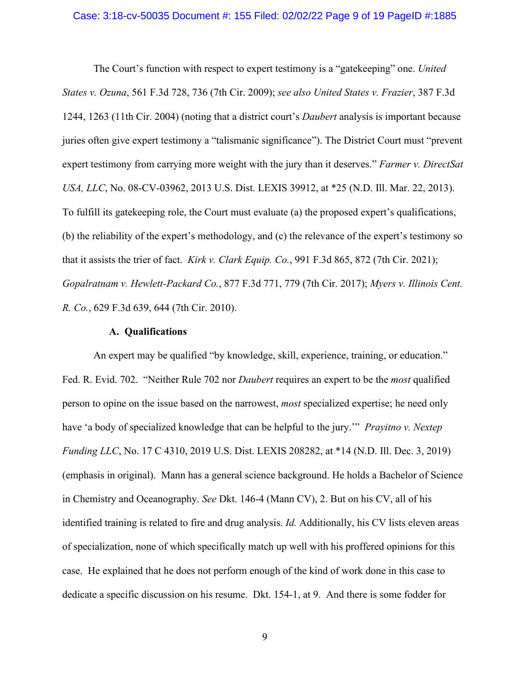#### Case: 3:18-cv-50035 Document #: 155 Filed: 02/02/22 Page 9 of 19 PageID #:1885

The Court's function with respect to expert testimony is a "gatekeeping" one. *United States v. Ozuna*, 561 F.3d 728, 736 (7th Cir. 2009); *see also United States v. Frazier*, 387 F.3d 1244, 1263 (11th Cir. 2004) (noting that a district court's *Daubert* analysis is important because juries often give expert testimony a "talismanic significance"). The District Court must "prevent expert testimony from carrying more weight with the jury than it deserves." *Farmer v. DirectSat USA, LLC*, No. 08-CV-03962, 2013 U.S. Dist. LEXIS 39912, at \*25 (N.D. Ill. Mar. 22, 2013). To fulfill its gatekeeping role, the Court must evaluate (a) the proposed expert's qualifications, (b) the reliability of the expert's methodology, and (c) the relevance of the expert's testimony so that it assists the trier of fact. *Kirk v. Clark Equip. Co.*, 991 F.3d 865, 872 (7th Cir. 2021); *Gopalratnam v. Hewlett-Packard Co.*, 877 F.3d 771, 779 (7th Cir. 2017); *Myers v. Illinois Cent. R. Co.*, 629 F.3d 639, 644 (7th Cir. 2010).

### **A. Qualifications**

An expert may be qualified "by knowledge, skill, experience, training, or education." Fed. R. Evid. 702. "Neither Rule 702 nor *Daubert* requires an expert to be the *most* qualified person to opine on the issue based on the narrowest, *most* specialized expertise; he need only have 'a body of specialized knowledge that can be helpful to the jury.'" *Prayitno v. Nextep Funding LLC*, No. 17 C 4310, 2019 U.S. Dist. LEXIS 208282, at \*14 (N.D. Ill. Dec. 3, 2019) (emphasis in original). Mann has a general science background. He holds a Bachelor of Science in Chemistry and Oceanography. *See* Dkt. 146-4 (Mann CV), 2. But on his CV, all of his identified training is related to fire and drug analysis. *Id.* Additionally, his CV lists eleven areas of specialization, none of which specifically match up well with his proffered opinions for this case. He explained that he does not perform enough of the kind of work done in this case to dedicate a specific discussion on his resume. Dkt. 154-1, at 9. And there is some fodder for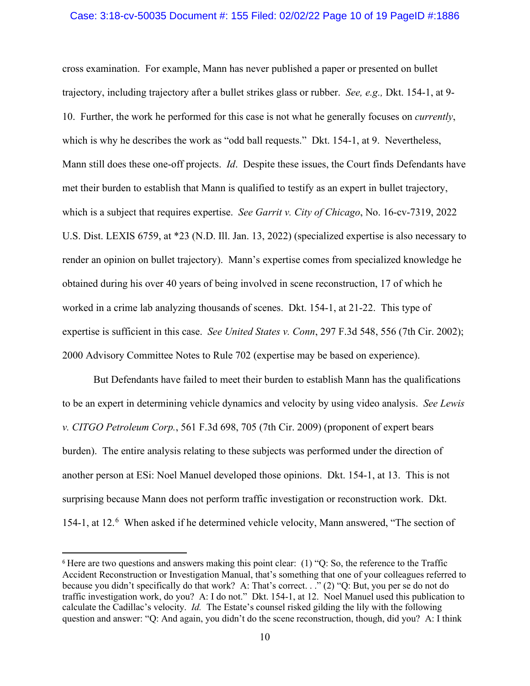### Case: 3:18-cv-50035 Document #: 155 Filed: 02/02/22 Page 10 of 19 PageID #:1886

cross examination. For example, Mann has never published a paper or presented on bullet trajectory, including trajectory after a bullet strikes glass or rubber. *See, e.g.,* Dkt. 154-1, at 9- 10. Further, the work he performed for this case is not what he generally focuses on *currently*, which is why he describes the work as "odd ball requests." Dkt. 154-1, at 9. Nevertheless, Mann still does these one-off projects. *Id*. Despite these issues, the Court finds Defendants have met their burden to establish that Mann is qualified to testify as an expert in bullet trajectory, which is a subject that requires expertise. *See Garrit v. City of Chicago*, No. 16-cv-7319, 2022 U.S. Dist. LEXIS 6759, at \*23 (N.D. Ill. Jan. 13, 2022) (specialized expertise is also necessary to render an opinion on bullet trajectory). Mann's expertise comes from specialized knowledge he obtained during his over 40 years of being involved in scene reconstruction, 17 of which he worked in a crime lab analyzing thousands of scenes. Dkt. 154-1, at 21-22. This type of expertise is sufficient in this case. *See United States v. Conn*, 297 F.3d 548, 556 (7th Cir. 2002); 2000 Advisory Committee Notes to Rule 702 (expertise may be based on experience).

But Defendants have failed to meet their burden to establish Mann has the qualifications to be an expert in determining vehicle dynamics and velocity by using video analysis. *See Lewis v. CITGO Petroleum Corp.*, 561 F.3d 698, 705 (7th Cir. 2009) (proponent of expert bears burden). The entire analysis relating to these subjects was performed under the direction of another person at ESi: Noel Manuel developed those opinions. Dkt. 154-1, at 13. This is not surprising because Mann does not perform traffic investigation or reconstruction work. Dkt. 154-1, at 12. 6 When asked if he determined vehicle velocity, Mann answered, "The section of

<sup>6</sup> Here are two questions and answers making this point clear: (1) "Q: So, the reference to the Traffic Accident Reconstruction or Investigation Manual, that's something that one of your colleagues referred to because you didn't specifically do that work? A: That's correct. . ." (2) "Q: But, you per se do not do traffic investigation work, do you? A: I do not." Dkt. 154-1, at 12. Noel Manuel used this publication to calculate the Cadillac's velocity. *Id.* The Estate's counsel risked gilding the lily with the following question and answer: "Q: And again, you didn't do the scene reconstruction, though, did you? A: I think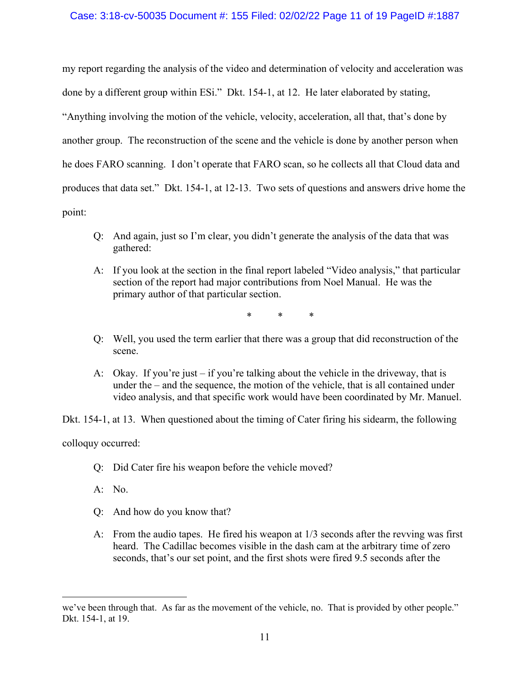## Case: 3:18-cv-50035 Document #: 155 Filed: 02/02/22 Page 11 of 19 PageID #:1887

my report regarding the analysis of the video and determination of velocity and acceleration was done by a different group within ESi." Dkt. 154-1, at 12. He later elaborated by stating, "Anything involving the motion of the vehicle, velocity, acceleration, all that, that's done by another group. The reconstruction of the scene and the vehicle is done by another person when he does FARO scanning. I don't operate that FARO scan, so he collects all that Cloud data and produces that data set." Dkt. 154-1, at 12-13. Two sets of questions and answers drive home the point:

- Q: And again, just so I'm clear, you didn't generate the analysis of the data that was gathered:
- A: If you look at the section in the final report labeled "Video analysis," that particular section of the report had major contributions from Noel Manual. He was the primary author of that particular section.

\* \* \*

- Q: Well, you used the term earlier that there was a group that did reconstruction of the scene.
- A: Okay. If you're just if you're talking about the vehicle in the driveway, that is under the – and the sequence, the motion of the vehicle, that is all contained under video analysis, and that specific work would have been coordinated by Mr. Manuel.

Dkt. 154-1, at 13. When questioned about the timing of Cater firing his sidearm, the following

colloquy occurred:

- Q: Did Cater fire his weapon before the vehicle moved?
- A: No.
- Q: And how do you know that?
- A: From the audio tapes. He fired his weapon at 1/3 seconds after the revving was first heard. The Cadillac becomes visible in the dash cam at the arbitrary time of zero seconds, that's our set point, and the first shots were fired 9.5 seconds after the

we've been through that. As far as the movement of the vehicle, no. That is provided by other people." Dkt. 154-1, at 19.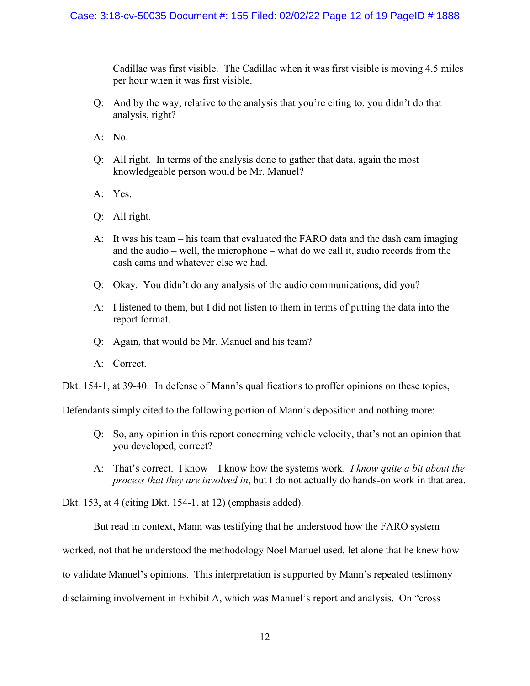Cadillac was first visible. The Cadillac when it was first visible is moving 4.5 miles per hour when it was first visible.

- Q: And by the way, relative to the analysis that you're citing to, you didn't do that analysis, right?
- A: No.
- Q: All right. In terms of the analysis done to gather that data, again the most knowledgeable person would be Mr. Manuel?
- A: Yes.
- Q: All right.
- A: It was his team his team that evaluated the FARO data and the dash cam imaging and the audio – well, the microphone – what do we call it, audio records from the dash cams and whatever else we had.
- Q: Okay. You didn't do any analysis of the audio communications, did you?
- A: I listened to them, but I did not listen to them in terms of putting the data into the report format.
- Q: Again, that would be Mr. Manuel and his team?
- A: Correct.

Dkt. 154-1, at 39-40. In defense of Mann's qualifications to proffer opinions on these topics,

Defendants simply cited to the following portion of Mann's deposition and nothing more:

- Q: So, any opinion in this report concerning vehicle velocity, that's not an opinion that you developed, correct?
- A: That's correct. I know I know how the systems work. *I know quite a bit about the process that they are involved in*, but I do not actually do hands-on work in that area.

Dkt. 153, at 4 (citing Dkt. 154-1, at 12) (emphasis added).

But read in context, Mann was testifying that he understood how the FARO system

worked, not that he understood the methodology Noel Manuel used, let alone that he knew how

to validate Manuel's opinions. This interpretation is supported by Mann's repeated testimony

disclaiming involvement in Exhibit A, which was Manuel's report and analysis. On "cross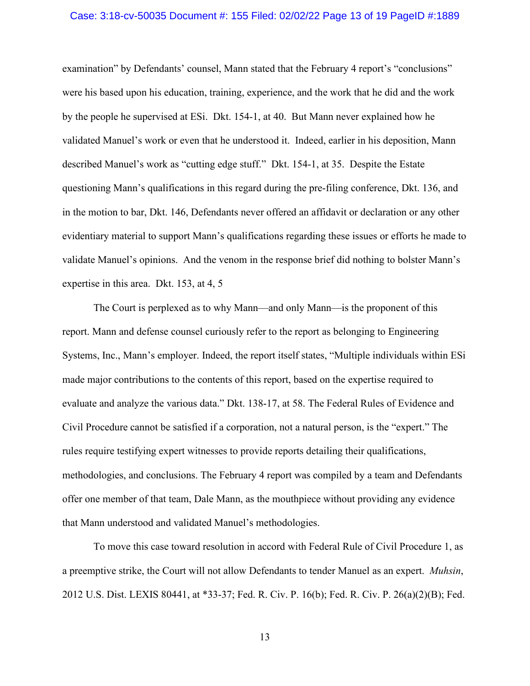### Case: 3:18-cv-50035 Document #: 155 Filed: 02/02/22 Page 13 of 19 PageID #:1889

examination" by Defendants' counsel, Mann stated that the February 4 report's "conclusions" were his based upon his education, training, experience, and the work that he did and the work by the people he supervised at ESi. Dkt. 154-1, at 40. But Mann never explained how he validated Manuel's work or even that he understood it. Indeed, earlier in his deposition, Mann described Manuel's work as "cutting edge stuff." Dkt. 154-1, at 35. Despite the Estate questioning Mann's qualifications in this regard during the pre-filing conference, Dkt. 136, and in the motion to bar, Dkt. 146, Defendants never offered an affidavit or declaration or any other evidentiary material to support Mann's qualifications regarding these issues or efforts he made to validate Manuel's opinions. And the venom in the response brief did nothing to bolster Mann's expertise in this area. Dkt. 153, at 4, 5

The Court is perplexed as to why Mann—and only Mann—is the proponent of this report. Mann and defense counsel curiously refer to the report as belonging to Engineering Systems, Inc., Mann's employer. Indeed, the report itself states, "Multiple individuals within ESi made major contributions to the contents of this report, based on the expertise required to evaluate and analyze the various data." Dkt. 138-17, at 58. The Federal Rules of Evidence and Civil Procedure cannot be satisfied if a corporation, not a natural person, is the "expert." The rules require testifying expert witnesses to provide reports detailing their qualifications, methodologies, and conclusions. The February 4 report was compiled by a team and Defendants offer one member of that team, Dale Mann, as the mouthpiece without providing any evidence that Mann understood and validated Manuel's methodologies.

To move this case toward resolution in accord with Federal Rule of Civil Procedure 1, as a preemptive strike, the Court will not allow Defendants to tender Manuel as an expert. *Muhsin*, 2012 U.S. Dist. LEXIS 80441, at \*33-37; Fed. R. Civ. P. 16(b); Fed. R. Civ. P. 26(a)(2)(B); Fed.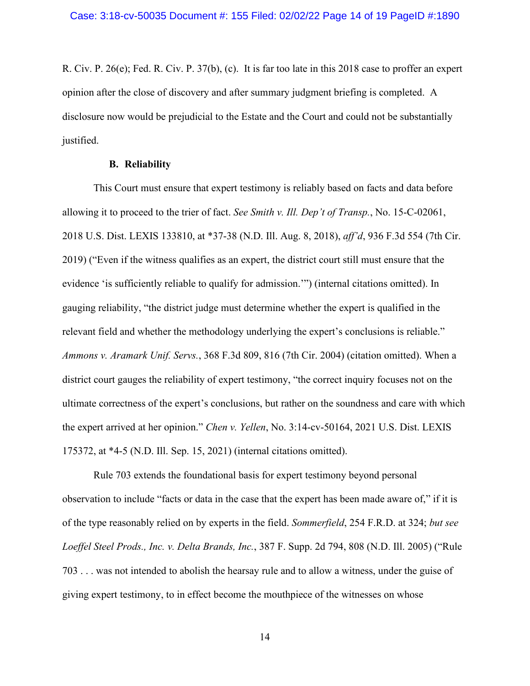R. Civ. P. 26(e); Fed. R. Civ. P. 37(b), (c). It is far too late in this 2018 case to proffer an expert opinion after the close of discovery and after summary judgment briefing is completed. A disclosure now would be prejudicial to the Estate and the Court and could not be substantially justified.

### **B. Reliability**

This Court must ensure that expert testimony is reliably based on facts and data before allowing it to proceed to the trier of fact. *See Smith v. Ill. Dep't of Transp.*, No. 15-C-02061, 2018 U.S. Dist. LEXIS 133810, at \*37-38 (N.D. Ill. Aug. 8, 2018), *aff'd*, 936 F.3d 554 (7th Cir. 2019) ("Even if the witness qualifies as an expert, the district court still must ensure that the evidence 'is sufficiently reliable to qualify for admission.'") (internal citations omitted). In gauging reliability, "the district judge must determine whether the expert is qualified in the relevant field and whether the methodology underlying the expert's conclusions is reliable." *Ammons v. Aramark Unif. Servs.*, 368 F.3d 809, 816 (7th Cir. 2004) (citation omitted). When a district court gauges the reliability of expert testimony, "the correct inquiry focuses not on the ultimate correctness of the expert's conclusions, but rather on the soundness and care with which the expert arrived at her opinion." *Chen v. Yellen*, No. 3:14-cv-50164, 2021 U.S. Dist. LEXIS 175372, at \*4-5 (N.D. Ill. Sep. 15, 2021) (internal citations omitted).

Rule 703 extends the foundational basis for expert testimony beyond personal observation to include "facts or data in the case that the expert has been made aware of," if it is of the type reasonably relied on by experts in the field. *Sommerfield*, 254 F.R.D. at 324; *but see Loeffel Steel Prods., Inc. v. Delta Brands, Inc.*, 387 F. Supp. 2d 794, 808 (N.D. Ill. 2005) ("Rule 703 . . . was not intended to abolish the hearsay rule and to allow a witness, under the guise of giving expert testimony, to in effect become the mouthpiece of the witnesses on whose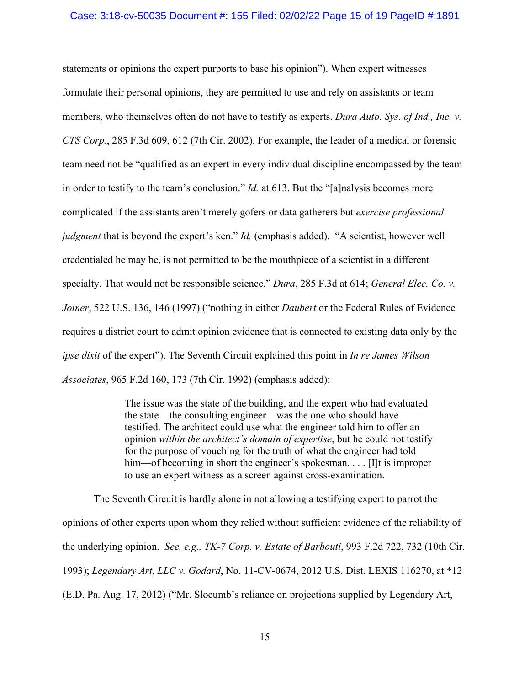# Case: 3:18-cv-50035 Document #: 155 Filed: 02/02/22 Page 15 of 19 PageID #:1891

statements or opinions the expert purports to base his opinion"). When expert witnesses formulate their personal opinions, they are permitted to use and rely on assistants or team members, who themselves often do not have to testify as experts. *Dura Auto. Sys. of Ind., Inc. v. CTS Corp.*, 285 F.3d 609, 612 (7th Cir. 2002). For example, the leader of a medical or forensic team need not be "qualified as an expert in every individual discipline encompassed by the team in order to testify to the team's conclusion." *Id.* at 613. But the "[a]nalysis becomes more complicated if the assistants aren't merely gofers or data gatherers but *exercise professional judgment* that is beyond the expert's ken." *Id.* (emphasis added). "A scientist, however well credentialed he may be, is not permitted to be the mouthpiece of a scientist in a different specialty. That would not be responsible science." *Dura*, 285 F.3d at 614; *General Elec. Co. v. Joiner*, 522 U.S. 136, 146 (1997) ("nothing in either *Daubert* or the Federal Rules of Evidence requires a district court to admit opinion evidence that is connected to existing data only by the *ipse dixit* of the expert"). The Seventh Circuit explained this point in *In re James Wilson Associates*, 965 F.2d 160, 173 (7th Cir. 1992) (emphasis added):

> The issue was the state of the building, and the expert who had evaluated the state—the consulting engineer—was the one who should have testified. The architect could use what the engineer told him to offer an opinion *within the architect's domain of expertise*, but he could not testify for the purpose of vouching for the truth of what the engineer had told him—of becoming in short the engineer's spokesman. . . . [I]t is improper to use an expert witness as a screen against cross-examination.

The Seventh Circuit is hardly alone in not allowing a testifying expert to parrot the opinions of other experts upon whom they relied without sufficient evidence of the reliability of the underlying opinion. *See, e.g., TK-7 Corp. v. Estate of Barbouti*, 993 F.2d 722, 732 (10th Cir. 1993); *Legendary Art, LLC v. Godard*, No. 11-CV-0674, 2012 U.S. Dist. LEXIS 116270, at \*12 (E.D. Pa. Aug. 17, 2012) ("Mr. Slocumb's reliance on projections supplied by Legendary Art,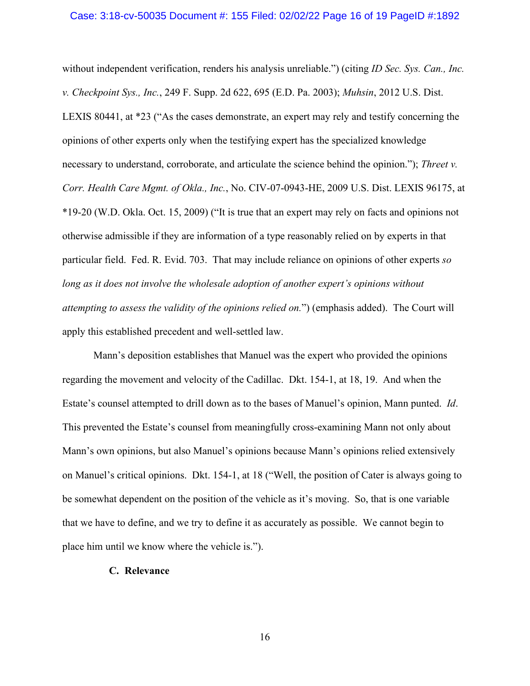without independent verification, renders his analysis unreliable.") (citing *ID Sec. Sys. Can., Inc. v. Checkpoint Sys., Inc.*, 249 F. Supp. 2d 622, 695 (E.D. Pa. 2003); *Muhsin*, 2012 U.S. Dist. LEXIS 80441, at \*23 ("As the cases demonstrate, an expert may rely and testify concerning the opinions of other experts only when the testifying expert has the specialized knowledge necessary to understand, corroborate, and articulate the science behind the opinion."); *Threet v. Corr. Health Care Mgmt. of Okla., Inc.*, No. CIV-07-0943-HE, 2009 U.S. Dist. LEXIS 96175, at \*19-20 (W.D. Okla. Oct. 15, 2009) ("It is true that an expert may rely on facts and opinions not otherwise admissible if they are information of a type reasonably relied on by experts in that particular field. Fed. R. Evid. 703. That may include reliance on opinions of other experts *so long as it does not involve the wholesale adoption of another expert's opinions without attempting to assess the validity of the opinions relied on.*") (emphasis added). The Court will apply this established precedent and well-settled law.

Mann's deposition establishes that Manuel was the expert who provided the opinions regarding the movement and velocity of the Cadillac. Dkt. 154-1, at 18, 19. And when the Estate's counsel attempted to drill down as to the bases of Manuel's opinion, Mann punted. *Id*. This prevented the Estate's counsel from meaningfully cross-examining Mann not only about Mann's own opinions, but also Manuel's opinions because Mann's opinions relied extensively on Manuel's critical opinions. Dkt. 154-1, at 18 ("Well, the position of Cater is always going to be somewhat dependent on the position of the vehicle as it's moving. So, that is one variable that we have to define, and we try to define it as accurately as possible. We cannot begin to place him until we know where the vehicle is.").

## **C. Relevance**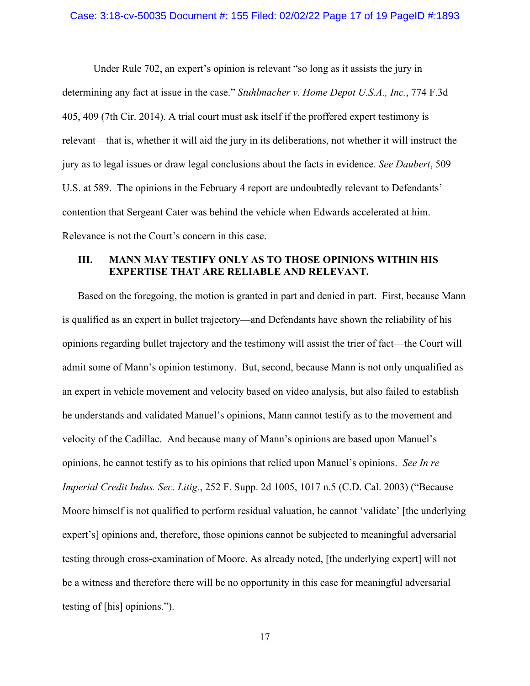### Case: 3:18-cv-50035 Document #: 155 Filed: 02/02/22 Page 17 of 19 PageID #:1893

Under Rule 702, an expert's opinion is relevant "so long as it assists the jury in determining any fact at issue in the case." *Stuhlmacher v. Home Depot U.S.A., Inc.*, 774 F.3d 405, 409 (7th Cir. 2014). A trial court must ask itself if the proffered expert testimony is relevant—that is, whether it will aid the jury in its deliberations, not whether it will instruct the jury as to legal issues or draw legal conclusions about the facts in evidence. *See Daubert*, 509 U.S. at 589. The opinions in the February 4 report are undoubtedly relevant to Defendants' contention that Sergeant Cater was behind the vehicle when Edwards accelerated at him. Relevance is not the Court's concern in this case.

# **III. MANN MAY TESTIFY ONLY AS TO THOSE OPINIONS WITHIN HIS EXPERTISE THAT ARE RELIABLE AND RELEVANT.**

Based on the foregoing, the motion is granted in part and denied in part. First, because Mann is qualified as an expert in bullet trajectory—and Defendants have shown the reliability of his opinions regarding bullet trajectory and the testimony will assist the trier of fact—the Court will admit some of Mann's opinion testimony. But, second, because Mann is not only unqualified as an expert in vehicle movement and velocity based on video analysis, but also failed to establish he understands and validated Manuel's opinions, Mann cannot testify as to the movement and velocity of the Cadillac. And because many of Mann's opinions are based upon Manuel's opinions, he cannot testify as to his opinions that relied upon Manuel's opinions. *See In re Imperial Credit Indus. Sec. Litig.*, 252 F. Supp. 2d 1005, 1017 n.5 (C.D. Cal. 2003) ("Because Moore himself is not qualified to perform residual valuation, he cannot 'validate' [the underlying expert's] opinions and, therefore, those opinions cannot be subjected to meaningful adversarial testing through cross-examination of Moore. As already noted, [the underlying expert] will not be a witness and therefore there will be no opportunity in this case for meaningful adversarial testing of [his] opinions.").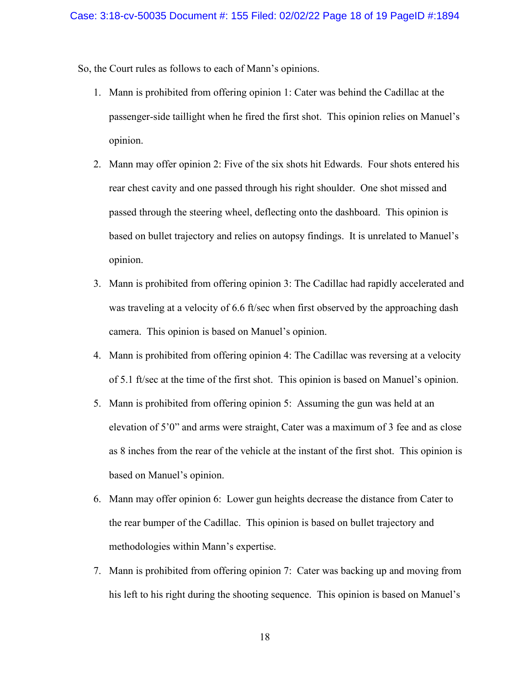So, the Court rules as follows to each of Mann's opinions.

- 1. Mann is prohibited from offering opinion 1: Cater was behind the Cadillac at the passenger-side taillight when he fired the first shot. This opinion relies on Manuel's opinion.
- 2. Mann may offer opinion 2: Five of the six shots hit Edwards. Four shots entered his rear chest cavity and one passed through his right shoulder. One shot missed and passed through the steering wheel, deflecting onto the dashboard. This opinion is based on bullet trajectory and relies on autopsy findings. It is unrelated to Manuel's opinion.
- 3. Mann is prohibited from offering opinion 3: The Cadillac had rapidly accelerated and was traveling at a velocity of 6.6 ft/sec when first observed by the approaching dash camera. This opinion is based on Manuel's opinion.
- 4. Mann is prohibited from offering opinion 4: The Cadillac was reversing at a velocity of 5.1 ft/sec at the time of the first shot. This opinion is based on Manuel's opinion.
- 5. Mann is prohibited from offering opinion 5: Assuming the gun was held at an elevation of 5'0" and arms were straight, Cater was a maximum of 3 fee and as close as 8 inches from the rear of the vehicle at the instant of the first shot. This opinion is based on Manuel's opinion.
- 6. Mann may offer opinion 6: Lower gun heights decrease the distance from Cater to the rear bumper of the Cadillac. This opinion is based on bullet trajectory and methodologies within Mann's expertise.
- 7. Mann is prohibited from offering opinion 7: Cater was backing up and moving from his left to his right during the shooting sequence. This opinion is based on Manuel's